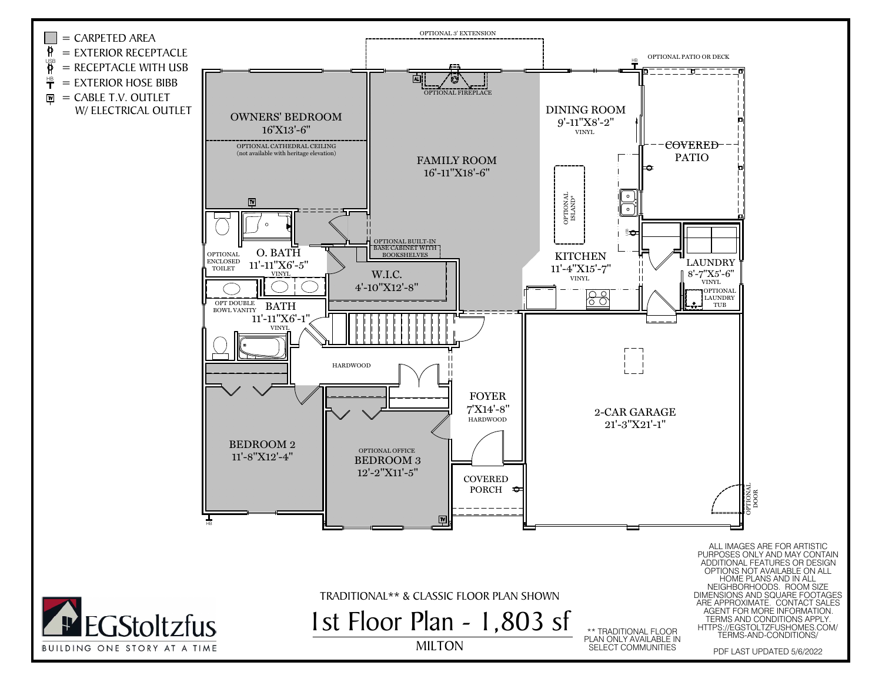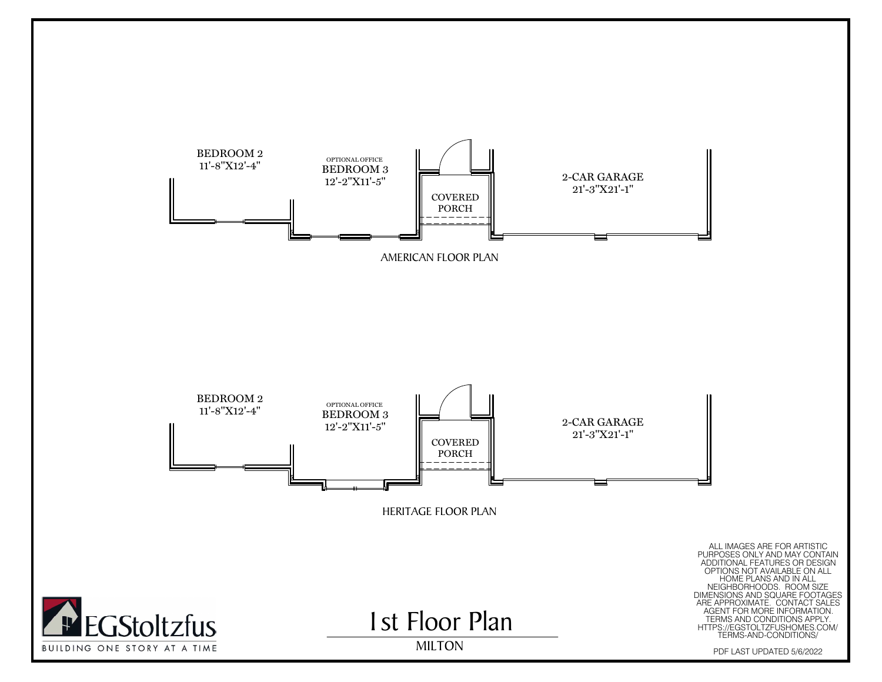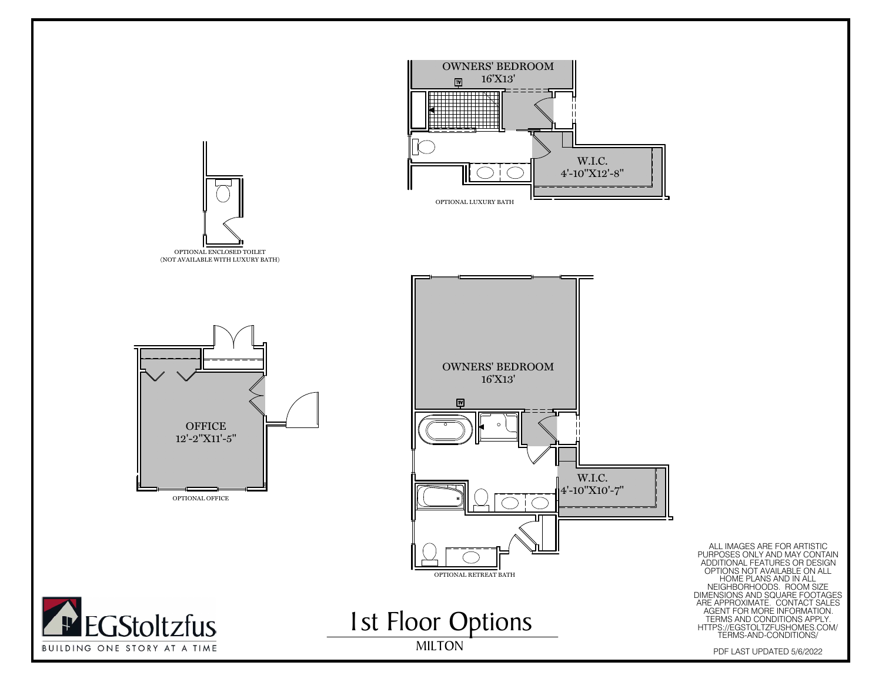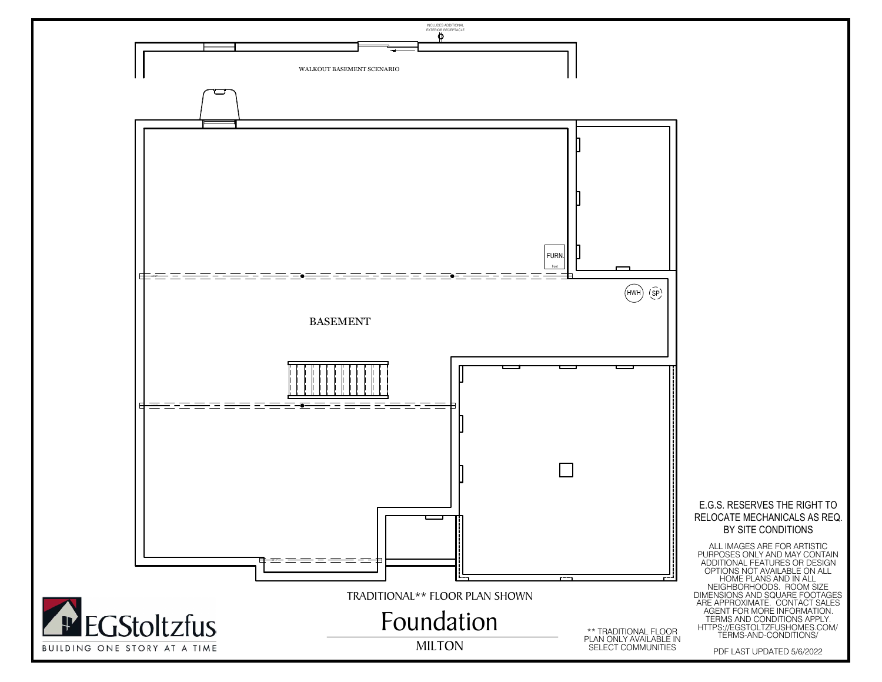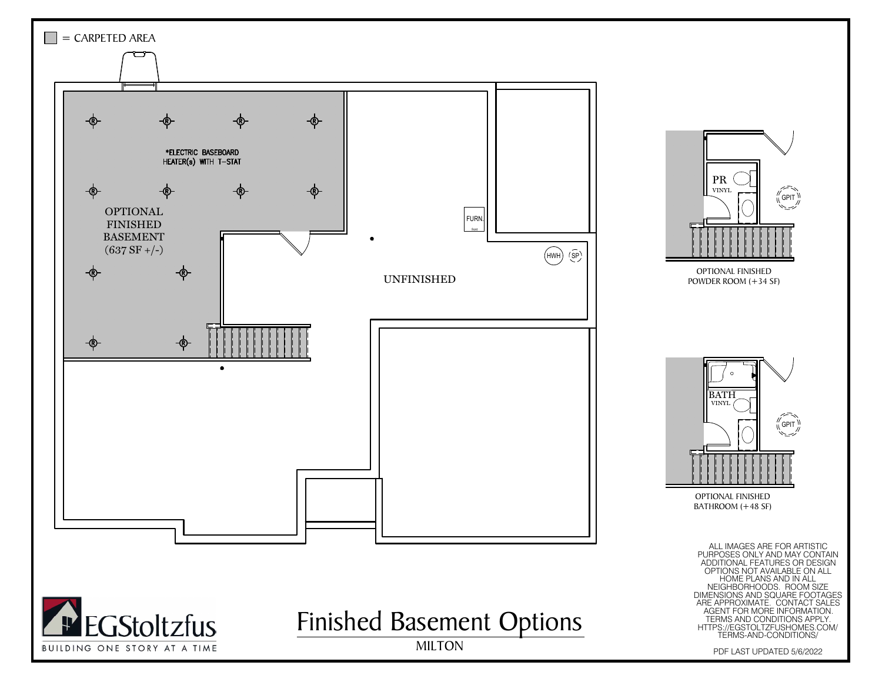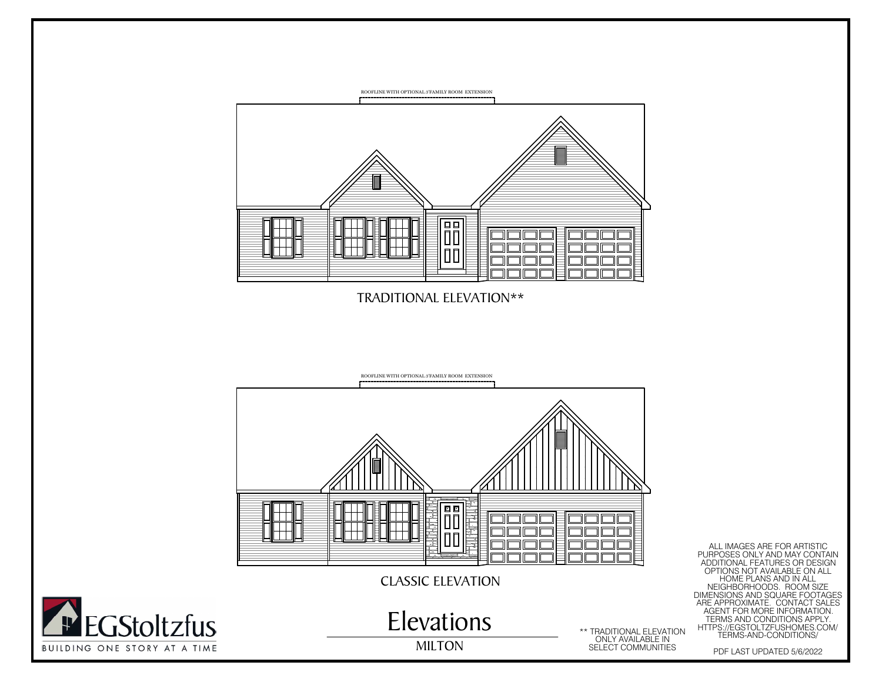